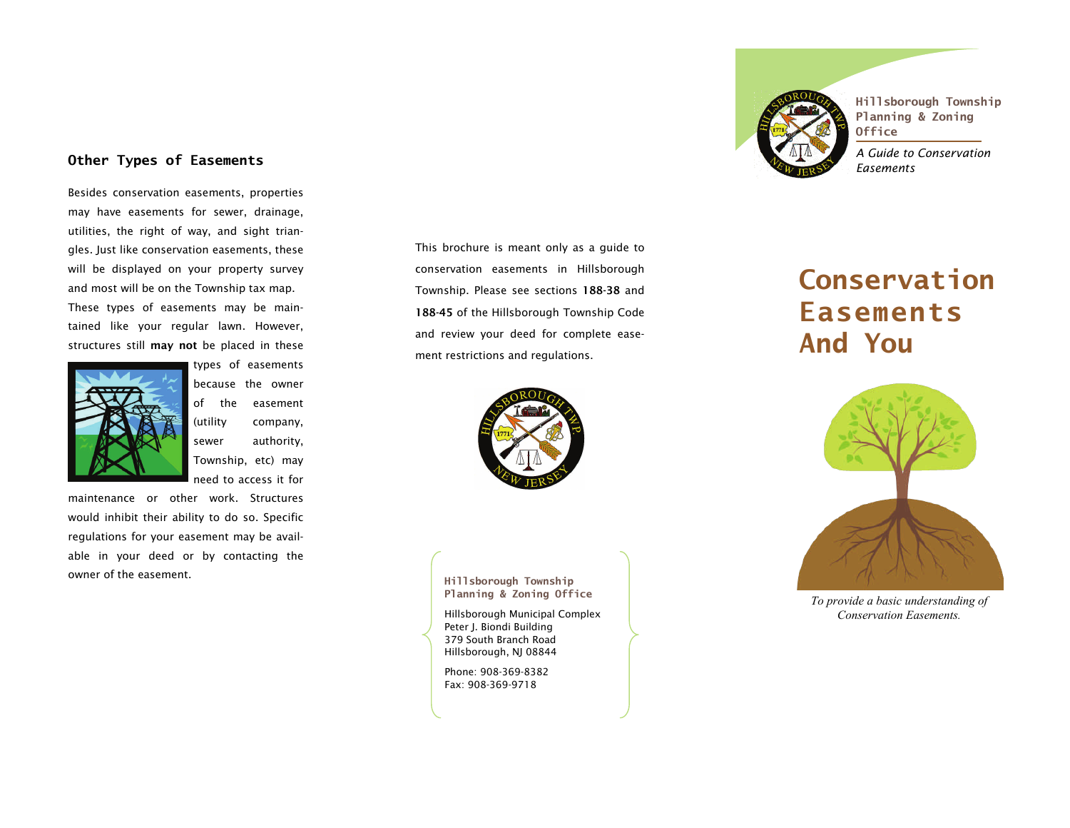# **Other Types of Easements**

Besides conservation easements, properties may have easements for sewer, drainage, utilities, the right of way, and sight triangles. Just like conservation easements, these will be displayed on your property survey and most will be on the Township tax map. These types of easements may be maintained like your regular lawn. However, structures still may not be placed in these



types of easements because the owner of the easement (utility company, sewer authority, Township, etc) may need to access it for

maintenance or other work. Structures would inhibit their ability to do so. Specific regulations for your easement may be available in your deed or by contacting the owner of the easement.



**Hillsborough Township Planning & Zoning Office** 

*A Guide to Conservation Easements* 

# **Conservation Easements And You**



*To provide a basic understanding of Conservation Easements.* 

This brochure is meant only as a guide to conservation easements in Hillsborough Township. Please see sections 188-38 and 188-45 of the Hillsborough Township Code and review your deed for complete easement restrictions and regulations.



**Hillsborough Township Planning & Zoning Office** 

Hillsborough Municipal Complex Peter J. Biondi Building 379 South Branch Road Hillsborough, NJ 08844

Phone: 908-369-8382 Fax: 908-369-9718